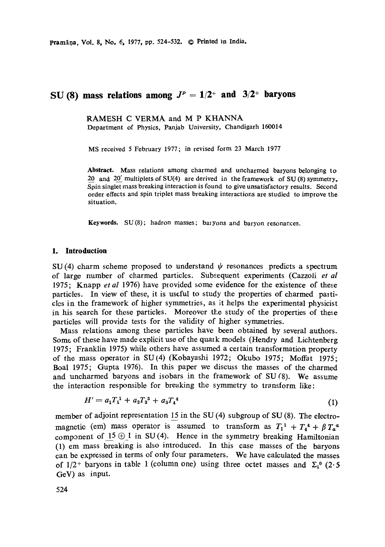pramir)a, Vol. 8, No. 6, 1977, pp. 524-532. © Printed in India.

# SU (8) mass relations among  $J^P = 1/2^+$  and  $3/2^+$  baryons

RAMESH C VERMA and M P KHANNA Department of Physics, Panjab University, Chandigarh 160014

MS received 5 February 1977; in revised form 23 March 1977

Abstract. Mass relations among charmed and uncharmed baryons belonging to 20 and 20' multiplets of SU(4) are derived in the framework of SU(8) symmetry, Spin singlet mass breaking interaction is found to give unsatisfactory results. Second order effects and spin triplet mass breaking interactions are studied to improve the situation.

Keywords. SU(8); hadron masses; baryons and baryon resonances.

#### **1. Introduction**

SU(4) charm scheme proposed to understand  $\psi$  resonances predicts a spectium of large number of charmed particles. Subsequent experiments (Cazzoli *et al*  1975; Knapp *etal* 1976) have piovided some evidence for the existence of these particles. In view of these, it is useful to study the properties of charmed particles in the framework of higher symmetries, as it helps the experimental physicist in his search for these particles. Moreover the study of the properties of these particles will provide tests for the validity of higher symmetries.

Mass relations among these particles have been obtained by several authors. Some of these have made explicit use of the quaik models (Hendry and Lichtenberg 1975; Franklin 1975) while others have assumed a certain transformation property of the mass operator in SU(4) (Kobayashi 1972; Okubo 1975; Moffat 1975; Boal 1975; Gupta 1976). In this paper we discuss the masses of the charmed and uncharmed baryons and isobars in the framework of SU (8). We assume the interaction responsible for breaking the symmetry to transform like:

$$
H' = a_1 T_1^1 + a_2 T_3^3 + a_3 T_4^4 \tag{1}
$$

member of adjoint representation 15 in the SU (4) subgroup of SU (8). The electromagnetic (em) mass operator is assumed to transform as  $T_1^1 + T_4^4 + \beta T_\alpha^4$ component of  $15 \oplus 1$  in SU(4). Hence in the symmetry breaking Hamiltonian (1) em mass breaking is also introduced. In this case masses of the baryons can be expressed in terms of only four parameters. We have calculated the masses of  $1/2$ <sup>+</sup> baryons in table 1 (column one) using three octet masses and  $\Sigma_1^0$  (2.5 GeV) as input.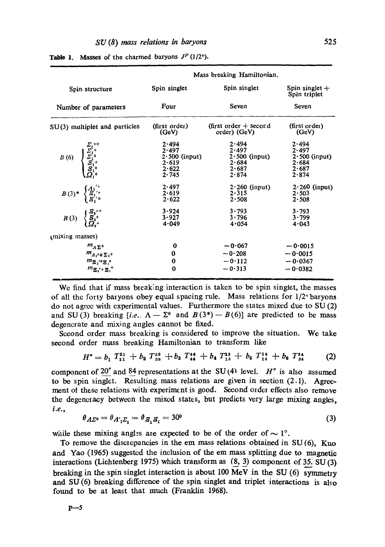| Spin structure                                                                                                                                                                                                                                                                                                                                                                                                | Mass breaking Hamiltonian. |                         |                                  |
|---------------------------------------------------------------------------------------------------------------------------------------------------------------------------------------------------------------------------------------------------------------------------------------------------------------------------------------------------------------------------------------------------------------|----------------------------|-------------------------|----------------------------------|
|                                                                                                                                                                                                                                                                                                                                                                                                               | Spin singlet               | Spin singlet            | Spin singlet $+$<br>Spin triplet |
| Number of parameters                                                                                                                                                                                                                                                                                                                                                                                          | Four                       | Seven                   | Seven                            |
| $SU(3)$ multiplet and particles                                                                                                                                                                                                                                                                                                                                                                               | (first order)              | (first order $+$ second | (first order)                    |
|                                                                                                                                                                                                                                                                                                                                                                                                               | (GeV)                      | order) (GeV)            | (GeV)                            |
| $B(6) \begin{cases} \sum_{1}^{2} + \\ \sum_{1}^{2} \\ \sum_{1}^{2} \\ \sum_{1}^{2} \\ \sum_{1}^{2} \\ \sum_{1}^{2} \\ \sum_{1}^{2} \\ \sum_{1}^{2} \\ \sum_{1}^{2} \\ \sum_{1}^{2} \\ \sum_{1}^{2} \\ \sum_{1}^{2} \\ \sum_{1}^{2} \\ \sum_{1}^{2} \\ \sum_{1}^{2} \\ \sum_{1}^{2} \\ \sum_{1}^{2} \\ \sum_{1}^{2} \\ \sum_{1}^{2} \\ \sum_{1}^{2} \\ \sum_{1}^{2} \\ \sum_{1}^{2} \\ \sum_{1}^{2} \\ \sum_{$ | 2.494                      | 2.494                   | $2 - 494$                        |
|                                                                                                                                                                                                                                                                                                                                                                                                               | 2.497                      | 2.497                   | 2.497                            |
|                                                                                                                                                                                                                                                                                                                                                                                                               | $2.500$ (input)            | $2.500$ (input)         | $2.500$ (input)                  |
|                                                                                                                                                                                                                                                                                                                                                                                                               | 2.619                      | 2.684                   | 2.684                            |
|                                                                                                                                                                                                                                                                                                                                                                                                               | 2.622                      | 2.687                   | 2.687                            |
|                                                                                                                                                                                                                                                                                                                                                                                                               | 2.745                      | 2.874                   | 2.874                            |
| $B(3)^*$ $\begin{cases} A_1^{'+} \\ B_{1/6}^{'} \\ B_{1/6}^{'} \end{cases}$                                                                                                                                                                                                                                                                                                                                   | 2.497                      | $2.260$ (input)         | $2.260$ (input)                  |
|                                                                                                                                                                                                                                                                                                                                                                                                               | 2.619                      | $2 - 315$               | $2 - 503$                        |
|                                                                                                                                                                                                                                                                                                                                                                                                               | 2.622                      | $2 - 508$               | 2.508                            |
| $B(3)$ $\begin{cases} \frac{S_2}{1} \\ \frac{S_3}{1} \\ \frac{S_4}{1} \end{cases}$                                                                                                                                                                                                                                                                                                                            | 3.924                      | $3 - 793$               | 3.793                            |
|                                                                                                                                                                                                                                                                                                                                                                                                               | 3.927                      | $3 - 796$               | 3.799                            |
|                                                                                                                                                                                                                                                                                                                                                                                                               | 4.049                      | 4.054                   | 4-043                            |
| mixing masses)                                                                                                                                                                                                                                                                                                                                                                                                |                            |                         |                                  |
| $m_{A\Sigma^0}$                                                                                                                                                                                                                                                                                                                                                                                               | $\bf{o}$                   | $-0.067$                | $-0.0015$                        |
| $m_{A_1}$ + $\Sigma_1$ +                                                                                                                                                                                                                                                                                                                                                                                      | $\bf{0}$                   | $-0.208$                | $-0.0015$                        |
| $m_{\rm E}$ , $n_{\rm E}$ , $n_{\rm E}$                                                                                                                                                                                                                                                                                                                                                                       | 0                          | $-0.112$                | $-0.0367$                        |
| $m_{\Sigma_1{}'+\Sigma_1{}^+}$                                                                                                                                                                                                                                                                                                                                                                                | $\bf{0}$                   | $-0.313$                | $-0.0382$                        |

Table 1. Masses of the charmed baryons  $J<sup>P</sup>$  (1/2<sup>+</sup>).

We find that if mass breaking interaction is taken to be spin singlet, the masses of all the forty baryons obey equal spacing rule. Mass relations for  $1/2$ <sup>+</sup> baryons do not agree with experimental values. Furthermore the states mixed due to SU (2) and SU(3) breaking *[i.e.*:  $\Lambda - \Sigma^0$  and  $B(3^*) - B(6)$ ] are predicted to be mass degenerate and mixing angles cannot be fixed.

Second order mass breaking is considered to improve the situation. We take second order mass breaking Hamiltonian to transform like

$$
H'' = b_1 T_{11}^{11} + b_2 T_{33}^{33} + b_3 T_{44}^{44} + b_4 T_{13}^{13} + b_5 T_{14}^{14} + b_6 T_{34}^{34}
$$
 (2)

component of 20<sup> $\pi$ </sup> and 84 representations at the SU(4) level. H<sup> $\pi$ </sup> is also assumed to be spin singlet. Resulting mass relations are given in section  $(2.1)$ . Agreement of these relations with experiment is good. Second order effects also remove the degeneracy between the mixed states, but predicts very large mixing angles, *i.e.,* 

$$
\theta_{\Lambda\Sigma^0} = \theta_{\Lambda_1'\Sigma_1} = \theta_{\Sigma_1\Sigma_1} = 30^\circ \tag{3}
$$

while these mixing angles are expected to be of the order of  $\sim 1^{\circ}$ .

To remove the discrepancies in the em mass relations obtained in  $SU(6)$ , Kuo and Yao (1965) suggested the inclusion of the em mass splitting due to magnetic interactions (Lichtenberg 1975) which transform as  $(8, 3)$  component of 35. SU $(3)$ breaking in the spin singlet interaction is about 100 MeV in the SU (6) symmetry and SU(6) breaking difference of the spin singlet and triplet interactions is also found to be at least that much (Franklin 1968).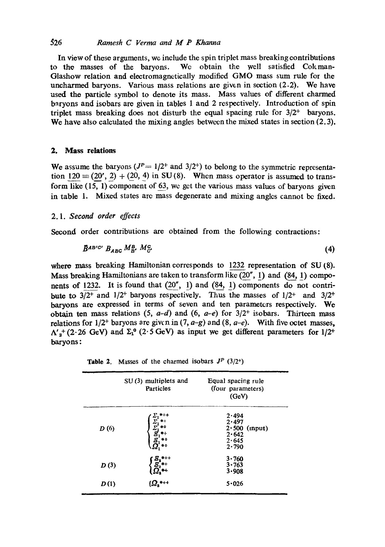### 326 *Ramesh C Verma and M P Khanna*

In view of these arguments, we include the spin triplet mass breaking contributions to the masses of the baryons. Wc obtain the well satisfied Cokman-Glashow relation and electromagnetically modified GMO mass sum rule for the uncharmed baryons. Various mass relations are given in section (2.2). We have used the particle symbol to denote its mass. Mass values of different charmed baryons and isobars are given in tables 1 and 2 respectively. Introduction of spin triplet mass breaking does not disturb the equal spacing rule for  $3/2^+$  baryons. We have also calculated the mixing angles between the mixed states in section (2.3).

### **2. Mass relations**

We assume the baryons  $(J<sup>P</sup> = 1/2<sup>+</sup>$  and  $3/2<sup>+</sup>$ ) to belong to the symmetric representation 120  $\equiv$  (20', 2) + (20, 4) in SU(8). When mass operator is assumed to transform like (15, 1) component of 63, we gct the various mass values of baryons given in table 1. Mixed states arc mass degenerate and mixing anglcs cannot be fixed.

#### *2.1. Second order effects*

Second order contributions are obtained from the following contractions:

$$
\vec{B}^{AB'C'}\,B_{ABC}\,M_B^B\,M_C^C\tag{4}
$$

where mass breaking Hamiltonian corresponds to 1232 representation of SU (8). Mass breaking Hamiltonians are taken to transform like  $(20''$ , 1) and  $(84, 1)$  components of 1232. It is found that  $(20'', 1)$  and  $(84, 1)$  components do not contribute to  $3/2^+$  and  $1/2^+$  baryons respectively. Thus the masses of  $1/2^+$  and  $3/2^+$ baryons are expressed in terms of seven and ten parameters respectively. We obtain ten mass relations  $(5, a-d)$  and  $(6, a-e)$  for  $3/2^{+}$  isobars. Thirteen mass relations for  $1/2^+$  baryons are given in  $(7, a-g)$  and  $(8, a-e)$ . With five octet masses,  $\Lambda'_3$ <sup>+</sup> (2.26 GeV) and  $\Sigma_1^0$  (2.5 GeV) as input we get different parameters for 1/2<sup>+</sup> baryons:

**Table 2.** Masses of the charmed isobars  $J^P$  (3/2<sup>+</sup>)

|      | $SU(3)$ multiplets and<br>Particles | Equal spacing rule<br>(four parameters)<br>(GeV)                 |
|------|-------------------------------------|------------------------------------------------------------------|
| D(6) | $***$<br>$\tilde{z}_1^1$            | 2.494<br>2.497<br>$2.500$ (input)<br>2.642<br>2.645<br>$2 - 790$ |
| D(3) |                                     | 3.760<br>3.763<br>3.908                                          |
| D(1) |                                     | 5.026                                                            |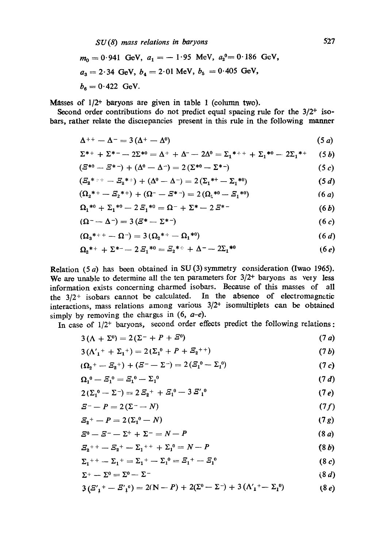$$
m_0 = 0.941
$$
 GeV,  $a_1 = -1.95$  MeV,  $a_2^0 = 0.186$  GeV,  
\n $a_3 = 2.34$  GeV,  $b_4 = 2.01$  MeV,  $b_5 = 0.405$  GeV,  
\n $b_6 = 0.422$  GeV.

Masses of  $1/2$ <sup>+</sup> baryons are given in table 1 (column two).

Second order contributions do not predict equal spacing rule for the  $3/2^+$  isobars, rather relate the discrepancies present in this rule in the following manner

$$
\Delta^{++} - \Delta^{-} = 3(\Delta^{+} - \Delta^{0}) \tag{5 a}
$$

$$
\Sigma^{*+} + \Sigma^{*-} - 2\Sigma^{*0} = \Delta^{+} + \Delta^{-} - 2\Delta^{0} = \Sigma_1^{*++} + \Sigma_1^{*0} - 2\Sigma_1^{*+} \qquad (5 b)
$$

$$
(\mathbf{\Sigma}^{*0} - \mathbf{\Sigma}^{*}) + (\Delta^0 - \Delta^{-}) = 2(\Sigma^{*0} - \Sigma^{*})
$$
\n
$$
(5c)
$$

$$
(\mathcal{E}_{2}^{*} + - \mathcal{E}_{2}^{*}) + (\Delta^{0} - \Delta^{-}) = 2(\Sigma_{1}^{*+} - \Sigma_{1}^{*0})
$$
\n(5 d)

$$
(\Omega_2^{*+} - \mathcal{Z}_2^{*+}) + (\Omega^- - \mathcal{Z}^{*-}) = 2(\Omega_1^{*0} - \mathcal{Z}_1^{*0})
$$
 (6 a)

$$
\Omega_1^{*0} + \Sigma_1^{*0} - 2\mathcal{E}_1^{*0} = \Omega^- + \Sigma^* - 2\mathcal{E}^{*-}
$$
 (6*b*)

$$
(\Omega^- \! - \! \Delta^-) = 3\left(\varXi^* - \Sigma^{*-}\right) \tag{6 c}
$$

$$
(\Omega_3^{*++}-\Omega^-)=3(\Omega_2^{*+}-\Omega_1^{*0})
$$
\n(6 d)

$$
\Omega_2^{*+} + \Sigma^{*-} - 2\,E_1^{*0} = E_2^{*+} + \Delta^{--} - 2\Sigma_1^{*0} \tag{6 e}
$$

Relation  $(5 a)$  has been obtained in SU $(3)$  symmetry consideration (Iwao 1965). We are unable to determine all the ten parameters for  $3/2$ <sup>+</sup> baryons as very less information exists concerning charmed isobars. Because of this masses of all the  $3/2$ <sup>+</sup> isobars cannot be calculated. In the absence of electromagnetic interactions, mass relations among various  $3/2$ <sup>+</sup> isomultiplets can be obtained simply by removing the charges in  $(6, a-e)$ .

In case of  $1/2$ <sup>+</sup> baryons, second order effects predict the following relations:

$$
3\left(\Lambda + \Sigma^0\right) = 2\left(\Sigma^- + P + \Sigma^0\right) \tag{7 a}
$$

$$
3(\Lambda_1' + \Sigma_1^+) = 2(\Sigma_1^0 + P + \Xi_2^{++})
$$
\n(7*b*)

$$
(\Omega_2^+ - \Sigma_2^+) + (\Sigma^- - \Sigma^-) = 2(\Sigma_1^0 - \Sigma_1^0) \tag{7 c}
$$

$$
\Omega_1^0 - \bar{Z}_1^0 = \bar{Z}_1^0 - \Sigma_1^0 \tag{7 d}
$$

$$
2(\Sigma_1^0 - \Sigma^-) = 2\,\mathbb{E}_2^+ + \mathbb{E}_1^0 - 3\,\mathbb{E}_1^{\prime\,0} \tag{7 e}
$$

$$
E^- - P = 2(\Sigma^- - N) \tag{7f}
$$

$$
E_2^+ - P = 2(\Sigma_1^0 - N) \tag{7 g}
$$

$$
\mathcal{Z}^0 - \mathcal{Z}^- - \Sigma^+ + \Sigma^- = N - P \tag{8 a}
$$

$$
\mathcal{Z}_2^{++} - \mathcal{Z}_2^{+} - \Sigma_1^{++} + \Sigma_1^{0} = N - P \tag{8 b}
$$

$$
\Sigma_1^{++} - \Sigma_1^{+} = \Sigma_1^{+} - \Sigma_1^{0} = \Sigma_1^{+} - \Sigma_1^{0}
$$
 (8 c)

$$
\Sigma^+ - \Sigma^0 = \Sigma^0 - \Sigma^- \tag{8 d}
$$

$$
3\left(\frac{S'}{1} + -\frac{S'}{1}\right) = 2(N-P) + 2(\Sigma^0 - \Sigma^-) + 3\left(\Lambda'_1 + -\Sigma_1^0\right) \tag{8 e}
$$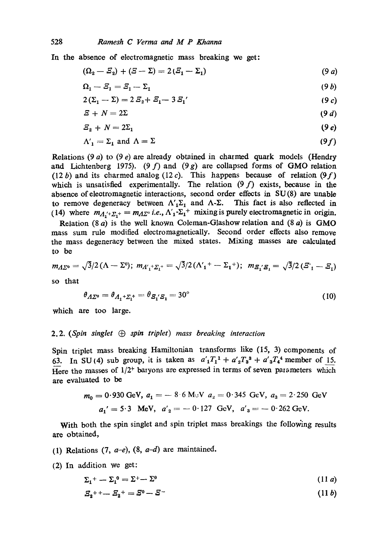In the absence of electromagnetic mass breaking we get:

$$
(\Omega_2 - \Sigma_2) + (\Sigma - \Sigma) = 2(\Sigma_1 - \Sigma_1)
$$
\n(9 a)

$$
\Omega_1 - \Xi_1 = \Xi_1 - \Sigma_1 \tag{9 b}
$$

$$
2(\Sigma_1 - \Sigma) = 2\,\Xi_2 + \Xi_1 - 3\,\Xi_1' \tag{9 c}
$$

$$
E + N = 2\Sigma \tag{9 d}
$$

$$
E_2 + N = 2\Sigma_1 \tag{9 e}
$$

$$
\Lambda_1' = \Sigma_1 \text{ and } \Lambda = \Sigma \tag{9f}
$$

Relations  $(9 a)$  to  $(9 e)$  are already obtained in charmed quark models (Hendry and Lichtenberg 1975). (9 f) and (9 g) are collapsed forms of GMO relation (12 b) and its charmed analog (12 c). This happens because of relation (9 f) which is unsatisfied experimentally. The relation  $(9 f)$  exists, because in the absence of electromagnetic interactions, second order effects in SU(8) are unable to remove degeneracy between  $\Lambda'_1\Sigma_1$  and  $\Lambda$ - $\Sigma$ . This fact is also reflected in (14) where  $m_{A_1{}^{\prime}+}\Sigma_1{}^{\prime} = m_{A_2{}^{\circ}}$  *i.e.*,  $\Lambda'_1 \Sigma_1{}^{\prime}$  mixing is purely electromagnetic in origin.

Relation (8  $a$ ) is the well known Coleman-Glashow relation and (8  $a$ ) is GMO mass sum rule modified electromagnetically. Second order effects also remove the mass degeneracy between the mixed states. Mixing masses are calculated to be

$$
m_{\Lambda\Sigma^0}=\sqrt{3}/2\left(\Lambda-\Sigma^0\right);~m_{\Lambda'_1+\Sigma_1^+}=\sqrt{3}/2\left(\Lambda'_1{}^+-\Sigma_1{}^+\right);~m_{\Sigma'_1\Sigma_1}=\sqrt{3}/2\left(\Sigma'_1-\Sigma_1\right)
$$

so that

$$
\theta_{A\Sigma^{0}} = \theta_{A_{1} + \Sigma_{1}^{+}} = \theta_{\mathcal{B}_{1}^{'}\mathcal{B}_{1}} = 30^{\circ} \tag{10}
$$

which are too large.

#### 2.2. *(Spin singlet G spin triplet) mass breaking interaction*

Spin triplet mass breaking Hamiltonian transforms like (15, 3) components of 63. In SU(4) sub group, it is taken as  $a'_1T_1^1 + a'_2T_3^3 + a'_3T_4^4$  member of 15. Here the masses of  $1/2^+$  baryons are expressed in terms of seven parameters which are evaluated to be

$$
m_0 = 0.930 \text{ GeV}, a_1 = -8.6 \text{ MeV} \ a_2 = 0.345 \text{ GeV}, a_3 = 2.250 \text{ GeV}
$$

$$
a_1' = 5.3 \text{ MeV}, a_2' = -0.127 \text{ GeV}, a_3' = -0.262 \text{ GeV}.
$$

With both the spin singlet and spin triplet mass breakings the following results are obtained,

- (1) Relations (7, *a-e),* (8, *a-d)* are maintained.
- (2) In addition we get:

$$
\Sigma_1^+ - \Sigma_1^0 = \Sigma^+ - \Sigma^0 \tag{11 } a
$$

$$
S_2^{+} + - S_2^{+} = S^0 - S^- \tag{11 b}
$$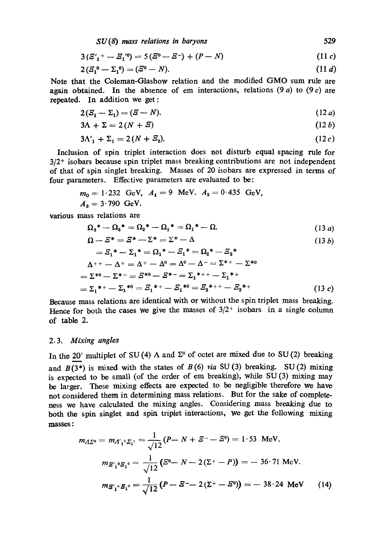*SU (8) mass relations in baryons* 529

$$
3(S'_{1} + -S_{1}^{0}) = 5(S^{0} - S^{-}) + (P - N)
$$
\n(11 c)

$$
2(S_1^0 - \Sigma_1^0) = (S^0 - N). \tag{11 d}
$$

Note that the Coleman-Glashow relation and the modified GMO sum rule are again obtained. In the absence of em interactions, relations  $(9a)$  to  $(9c)$  are repeated. In addition we get:

$$
2(S_1 - \Sigma_1) = (S - N). \tag{12 a}
$$

$$
3\Lambda + \Sigma = 2(N + \mathcal{E}) \tag{12 b}
$$

$$
3\Lambda'_1 + \Sigma_1 = 2(N + \mathcal{Z}_2). \tag{12c}
$$

Inclusion of spin triplet interaction does not disturb equal spacing rule for  $3/2$ <sup>+</sup> isobars because spin triplet mass breaking contributions are not independent of that of spin singlet breaking. Masses of 20 isobars are expressed in terms of four parameters. Effective parameters are evaluated to be:

$$
m_0 = 1.232
$$
 GeV,  $A_1 = 9$  MeV.  $A_2 = 0.435$  GeV,  
 $A_3 = 3.790$  GeV.

various mass relations are

$$
\Omega_3^* - \Omega_2^* = \Omega_2^* - \Omega_1^* = \Omega_1^* - \Omega. \tag{13 a}
$$

$$
\Omega - \Xi^* = \Xi^* - \Sigma^* = \Sigma^* - \Delta \tag{13 b}
$$
\n
$$
= \Xi_1^* - \Sigma_1^* = \Omega_1^* - \Xi_1^* = \Omega_2^* - \Xi_2^*
$$
\n
$$
\Delta^{++} - \Delta^+ = \Delta^+ - \Delta^0 = \Delta^0 - \Delta^- = \Sigma^{*+} - \Sigma^{*0}
$$
\n
$$
= \Sigma^{*0} - \Sigma^{*-} = \Xi^{*0} - \Xi^{*-} = \Sigma_1^{*++} - \Sigma_1^{*+}
$$
\n
$$
= \Sigma_1^{*+} - \Sigma_1^{*0} = \Xi_1^{*+} - \Xi_1^{*0} = \Xi_2^{*++} - \Xi_2^{*+} \tag{13 c}
$$

Because mass relations are identical with or without the spin triplet mass breaking. Hence for both the cases we give the masses of  $3/2^+$  isobars in a single column of table 2.

## *2.3. Mixing angles*

In the 20' multiplet of SU (4)  $\Lambda$  and  $\Sigma^0$  of octet are mixed due to SU (2) breaking and  $B(3^*)$  is mixed with the states of  $B(6)$  *via* SU(3) breaking. SU(2) mixing is expected to be small (of the order of em breaking), while SU (3) mixing may be larger. These mixing effects are expected to be negligible therefore we have not considered them in determining mass relations. But for the sake of completeness we have calculated the mixing angles. Considering mass breaking due to both the spin singlet and spin triplet interactions, we get the following mixing masses:

$$
m_{\Lambda\Sigma^0} = m_{A'_1+ \Sigma_1^+} = \frac{1}{\sqrt{12}} (P - N + \Sigma^- - \Sigma^0) = 1.53 \text{ MeV}.
$$
  

$$
m_{\Sigma'_1{}^0 \Sigma_1{}^0} = \frac{1}{\sqrt{12}} (\Sigma^0 - N - 2(\Sigma^+ - P)) = -36.71 \text{ MeV}.
$$
  

$$
m_{\Sigma'_1{}^+ \Sigma_1{}^+} = \frac{1}{\sqrt{12}} (P - \Sigma^- - 2(\Sigma^+ - \Sigma^0)) = -38.24 \text{ MeV} \qquad (14)
$$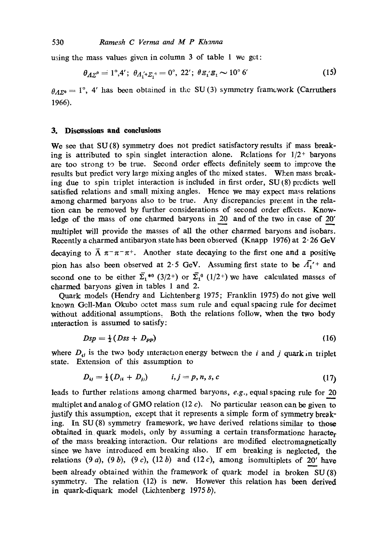using the mass values given in column 3 of table 1 we get:

$$
\theta_{A\Sigma^0} = 1^\circ, 4'; \ \theta_{A_1' + \Sigma_1^+} = 0^\circ, \ 22'; \ \theta_{\Sigma_1' \Sigma_1} \sim 10^\circ \ 6' \tag{15}
$$

 $\theta_A$ <sub>770</sub> = 1°, 4' has been obtained in the SU (3) symmetry framework (Carruthers 1966).

#### **3. Discussions and conclusions**

We see that SU(8) symmetry does not predict satisfactory results if mass breaking is attributed to spin singlet interaction alone. Relations for  $1/2$  baryons are too strong to be true. Second order *effects* definitely seem to improve the results but predict very large mixing angles of the mixed states. When mass breaking due to spin triplet interaction is included in first order, SU (8) predicts well satisfied relations and small mixing angles. *Hence we* may expect mass relations among charmed baryons also to be true. Any discrepancies present in the relation can be removed by further considerations of second order effects. Knowledge of the mass of one charmed baryons in 20 and of the two in case of 20' multiplet will provide the masses of all the other charmed baryons and isobars. Recently a charmed antibaryon state has been observed (Knapp 1976) at 2.26 GeV decaying to  $\bar{\Lambda} \pi^- \pi^- \pi^+$ . Another state decaying to the first one and a positive pion has also been observed at 2.5 GeV. Assuming first state to be  $\overline{A_1}'$  and second one to be either  $\overline{\Sigma}_1^{*0}$  (3/2<sup>+</sup>) or  $\overline{\Sigma}_1^0$  (1/2<sup>+</sup>) we have calculated masses of charmed baryons given in tables 1 and 2.

Quark models (Hendry and Lichtenberg 1975; Franklin 1975) do not give well known Gcll-Man Okubo octet mass sum rule and equal spacing rule for decimet without additional assumptions. Both the relations follow, when the two body interaction is assumed to satisfy:

$$
Dsp = \frac{1}{2}(Dss + D_{\rm PP})\tag{16}
$$

where  $D_{ij}$  is the two body interaction energy between the i and j quark in triplet state. Extension of this assumption to

$$
D_{ij} = \frac{1}{2}(D_{ii} + D_{j}) \qquad i, j = p, n, s, c \qquad (17)
$$

leads to further relations among charmed baryons, *e.g.*, equal spacing rule for 20 multiplet and analog of GMO relation  $(12 c)$ . No particular reason can be given to justify this assumption, except that it represents a simple form of symmetry breaking. In SU (8) symmetry framework, we have derived relations similar to those obtained in quark models, only by assuming a certain transformationc haracter of the mass breaking interaction. Our relations are modified electromagnetically since we have introduced em breaking also. If em breaking is neglected, the relations (9 a), (9 b), (9 c), (12 b) and (12 c), among isomultiplets of 20' have been already obtained within the framework of quark model in broken SU (8) symmetry. The relation (12) is new. However this relation has been derived in quark-diquark model (Lichtenberg  $1975b$ ),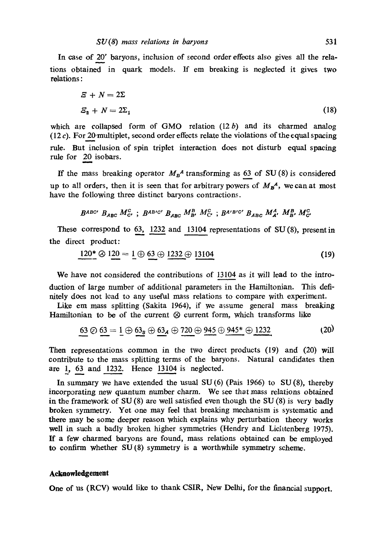In case of 20" baryons, inclusion of second order effects also gives all the relations obtained in quark models. If em breaking is neglected it gives two relations:

$$
E + N = 2\Sigma
$$
  
\n
$$
E_2 + N = 2\Sigma_1
$$
\n(18)

which are collapsed form of GMO relation  $(12 b)$  and its charmed analog  $(12 c)$ . For 20-multiplet, second order effects relate the violations of the equal spacing rule. But inclusion of spin triplet interaction does not disturb equal spacing rule for 20 isobars.

If the mass breaking operator  $M_B^A$  transforming as 63 of SU (8) is considered up to all orders, then it is seen that for arbitrary powers of  $M_B^A$ , we can at most have the following three distinct baryons contractions.

BABC' BABC M<sup>C</sup><sub>C</sub>, BABIC' B<sub>ABC</sub> M<sub>B</sub>, M<sub>C</sub><sup>C</sup>, BA'B'C' B<sub>ABC</sub> M<sub>A</sub>, M<sub>B</sub>, M<sub>C</sub><sup>C</sup></sup>

These correspond to 63, 1232 and 13104 representations of SU(8), presentin the direct product:

$$
120^* \otimes 120 = 1 \oplus 63 \oplus 1232 \oplus 13104 \tag{19}
$$

We have not considered the contributions of 13104 as it will lead to the introduction of large number of additional parameters in the Hamiltonian. This deftnitely does not lead to any useful mass relations to compare with experiment.

Like em mass splitting (Sakita 1964), if we assume general mass breaking Hamiltonian to be of the current  $\otimes$  current form, which transforms like

$$
63 \odot 63 = 1 \oplus 63_s \oplus 63_A \oplus 720 \oplus 945 \oplus 945^* \oplus 1232
$$
 (20)

Then representations common in the two direct products (19) and (20) will contribute to the mass splitting terms of the baryons. Natural candidates then are 1, 63 and 1232. Hence 13104 is neglected.

In summary we have extended the usual SU (6) (Pais 1966) to SU (8), thereby incorporating *new* quantum number charm. We see that mass relations obtained in the framework of  $SU(8)$  are well satisfied even though the  $SU(8)$  is very badly broken symmetry. Yet one may feel that breaking mechanism is systematic and there may be some deeper reason which explains why perturbation theory works well in such a badly broken higher symmetries (Hendry and Lichtenberg 1975). If a few charmed baryons are found, mass relations obtained can be employed to confirm whether SU (8) symmetry is a worthwhile symmetry scheme.

#### **Acknowledgement**

One of us (RCV) would like to thank CSIR, New Delhi, for the financial support.